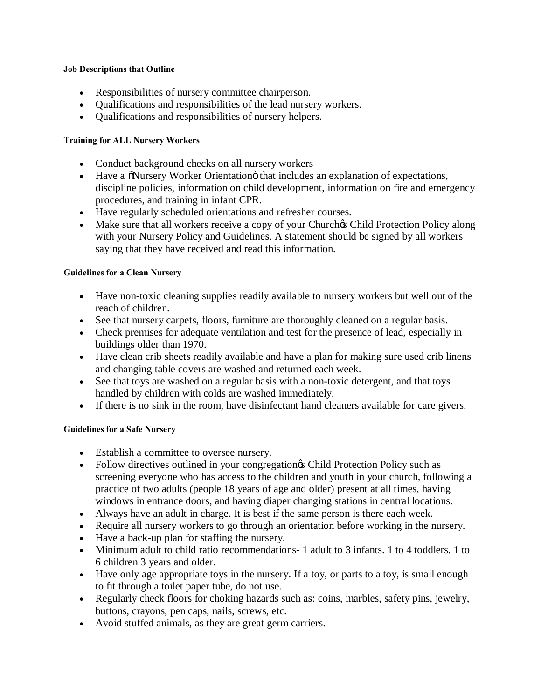#### **Job Descriptions that Outline**

- · Responsibilities of nursery committee chairperson.
- · Qualifications and responsibilities of the lead nursery workers.
- · Qualifications and responsibilities of nursery helpers.

## **Training for ALL Nursery Workers**

- Conduct background checks on all nursery workers
- Have a  $\delta$ Nursery Worker Orientation that includes an explanation of expectations, discipline policies, information on child development, information on fire and emergency procedures, and training in infant CPR.
- · Have regularly scheduled orientations and refresher courses.
- Make sure that all workers receive a copy of your Church $\alpha$  Child Protection Policy along with your Nursery Policy and Guidelines. A statement should be signed by all workers saying that they have received and read this information.

# **Guidelines for a Clean Nursery**

- · Have non-toxic cleaning supplies readily available to nursery workers but well out of the reach of children.
- · See that nursery carpets, floors, furniture are thoroughly cleaned on a regular basis.
- · Check premises for adequate ventilation and test for the presence of lead, especially in buildings older than 1970.
- · Have clean crib sheets readily available and have a plan for making sure used crib linens and changing table covers are washed and returned each week.
- See that toys are washed on a regular basis with a non-toxic detergent, and that toys handled by children with colds are washed immediately.
- · If there is no sink in the room, have disinfectant hand cleaners available for care givers.

## **Guidelines for a Safe Nursery**

- · Establish a committee to oversee nursery.
- Follow directives outlined in your congregation & Child Protection Policy such as screening everyone who has access to the children and youth in your church, following a practice of two adults (people 18 years of age and older) present at all times, having windows in entrance doors, and having diaper changing stations in central locations.
- · Always have an adult in charge. It is best if the same person is there each week.
- · Require all nursery workers to go through an orientation before working in the nursery.
- · Have a back-up plan for staffing the nursery.
- · Minimum adult to child ratio recommendations- 1 adult to 3 infants. 1 to 4 toddlers. 1 to 6 children 3 years and older.
- · Have only age appropriate toys in the nursery. If a toy, or parts to a toy, is small enough to fit through a toilet paper tube, do not use.
- · Regularly check floors for choking hazards such as: coins, marbles, safety pins, jewelry, buttons, crayons, pen caps, nails, screws, etc.
- · Avoid stuffed animals, as they are great germ carriers.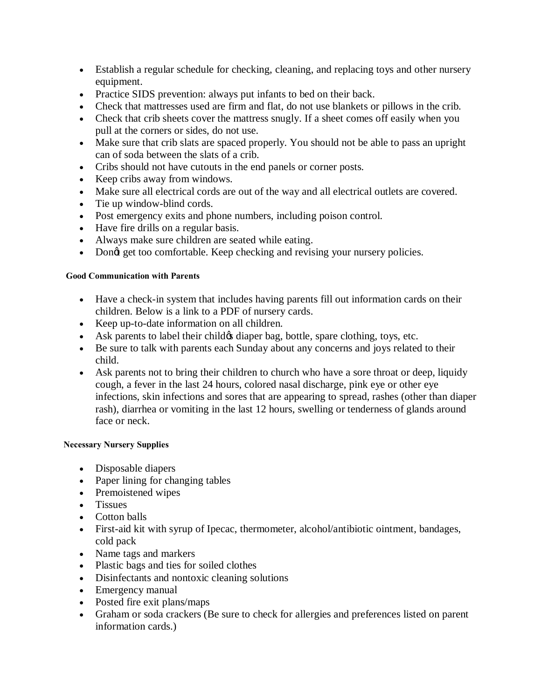- · Establish a regular schedule for checking, cleaning, and replacing toys and other nursery equipment.
- · Practice SIDS prevention: always put infants to bed on their back.
- · Check that mattresses used are firm and flat, do not use blankets or pillows in the crib.
- Check that crib sheets cover the mattress snugly. If a sheet comes off easily when you pull at the corners or sides, do not use.
- · Make sure that crib slats are spaced properly. You should not be able to pass an upright can of soda between the slats of a crib.
- · Cribs should not have cutouts in the end panels or corner posts.
- · Keep cribs away from windows.
- · Make sure all electrical cords are out of the way and all electrical outlets are covered.
- · Tie up window-blind cords.
- · Post emergency exits and phone numbers, including poison control.
- · Have fire drills on a regular basis.
- · Always make sure children are seated while eating.
- Dongt get too comfortable. Keep checking and revising your nursery policies.

## **Good Communication with Parents**

- · Have a check-in system that includes having parents fill out information cards on their children. Below is a link to a PDF of nursery cards.
- · Keep up-to-date information on all children.
- Ask parents to label their child is diaper bag, bottle, spare clothing, toys, etc.
- · Be sure to talk with parents each Sunday about any concerns and joys related to their child.
- Ask parents not to bring their children to church who have a sore throat or deep, liquidy cough, a fever in the last 24 hours, colored nasal discharge, pink eye or other eye infections, skin infections and sores that are appearing to spread, rashes (other than diaper rash), diarrhea or vomiting in the last 12 hours, swelling or tenderness of glands around face or neck.

## **Necessary Nursery Supplies**

- Disposable diapers
- · Paper lining for changing tables
- · Premoistened wipes
- · Tissues
- · Cotton balls
- · First-aid kit with syrup of Ipecac, thermometer, alcohol/antibiotic ointment, bandages, cold pack
- · Name tags and markers
- · Plastic bags and ties for soiled clothes
- · Disinfectants and nontoxic cleaning solutions
- · Emergency manual
- · Posted fire exit plans/maps
- · Graham or soda crackers (Be sure to check for allergies and preferences listed on parent information cards.)